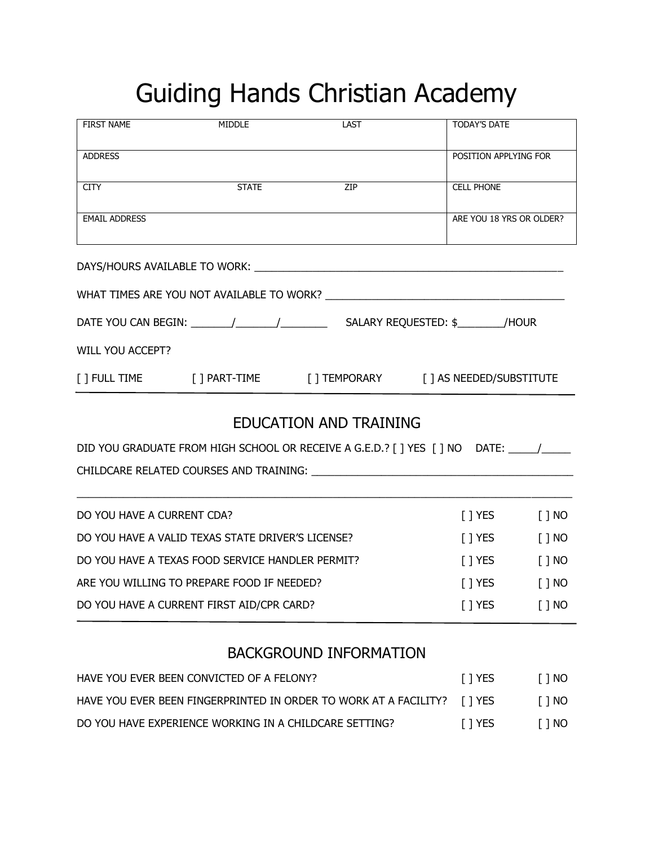## Guiding Hands Christian Academy

| <b>FIRST NAME</b>                                                | <b>MIDDLE</b>          | LAST                                                                                                           | <b>TODAY'S DATE</b>      |          |
|------------------------------------------------------------------|------------------------|----------------------------------------------------------------------------------------------------------------|--------------------------|----------|
| <b>ADDRESS</b>                                                   |                        |                                                                                                                | POSITION APPLYING FOR    |          |
| <b>CITY</b>                                                      | STATE <b>STATE</b>     | ZIP                                                                                                            | <b>CELL PHONE</b>        |          |
| <b>EMAIL ADDRESS</b>                                             |                        |                                                                                                                | ARE YOU 18 YRS OR OLDER? |          |
|                                                                  |                        |                                                                                                                |                          |          |
|                                                                  |                        |                                                                                                                |                          |          |
|                                                                  |                        |                                                                                                                |                          |          |
| <b>WILL YOU ACCEPT?</b>                                          |                        |                                                                                                                |                          |          |
|                                                                  |                        | [ ] FULL TIME [ ] PART-TIME [ ] TEMPORARY [ ] AS NEEDED/SUBSTITUTE                                             |                          |          |
|                                                                  |                        | <b>EDUCATION AND TRAINING</b>                                                                                  |                          |          |
|                                                                  |                        | DID YOU GRADUATE FROM HIGH SCHOOL OR RECEIVE A G.E.D.? [ ] YES [ ] NO DATE: \\ \\ \\ \\ \\ \\ \\ \\ \\ \\ \\ \ |                          |          |
|                                                                  |                        |                                                                                                                |                          |          |
| DO YOU HAVE A CURRENT CDA?                                       |                        |                                                                                                                | $[$ $]$ YES              | $[ ]$ NO |
| DO YOU HAVE A VALID TEXAS STATE DRIVER'S LICENSE?                | [ ] YES $\blacksquare$ | $[ ]$ NO                                                                                                       |                          |          |
| DO YOU HAVE A TEXAS FOOD SERVICE HANDLER PERMIT?                 | $\lceil$   YES         | $[ ]$ NO                                                                                                       |                          |          |
| ARE YOU WILLING TO PREPARE FOOD IF NEEDED?                       | $[$ $]$ YES            | $[ ]$ NO                                                                                                       |                          |          |
| DO YOU HAVE A CURRENT FIRST AID/CPR CARD?                        | [ ] YES                | [ ] NO                                                                                                         |                          |          |
|                                                                  |                        | <b>BACKGROUND INFORMATION</b>                                                                                  |                          |          |
| HAVE YOU EVER BEEN CONVICTED OF A FELONY?                        |                        |                                                                                                                | $[$ ] YES                | $[ ]$ NO |
| HAVE YOU EVER BEEN FINGERPRINTED IN ORDER TO WORK AT A FACILITY? |                        |                                                                                                                | $[$ ] YES                | $[ ]$ NO |
| DO YOU HAVE EXPERIENCE WORKING IN A CHILDCARE SETTING?           |                        |                                                                                                                |                          | [ ] NO   |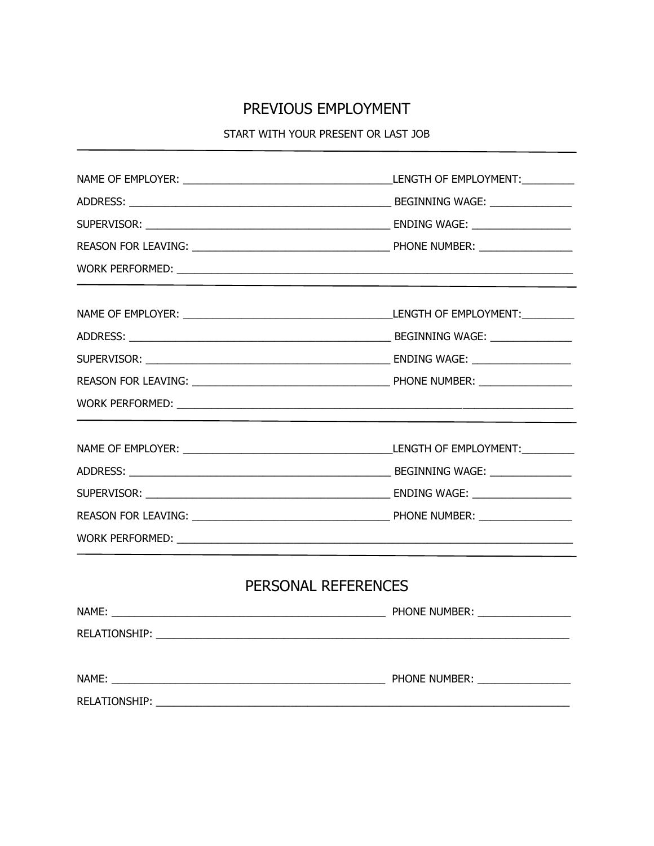## PREVIOUS EMPLOYMENT

START WITH YOUR PRESENT OR LAST JOB

|  | PERSONAL REFERENCES |  |
|--|---------------------|--|
|  |                     |  |
|  |                     |  |
|  |                     |  |
|  |                     |  |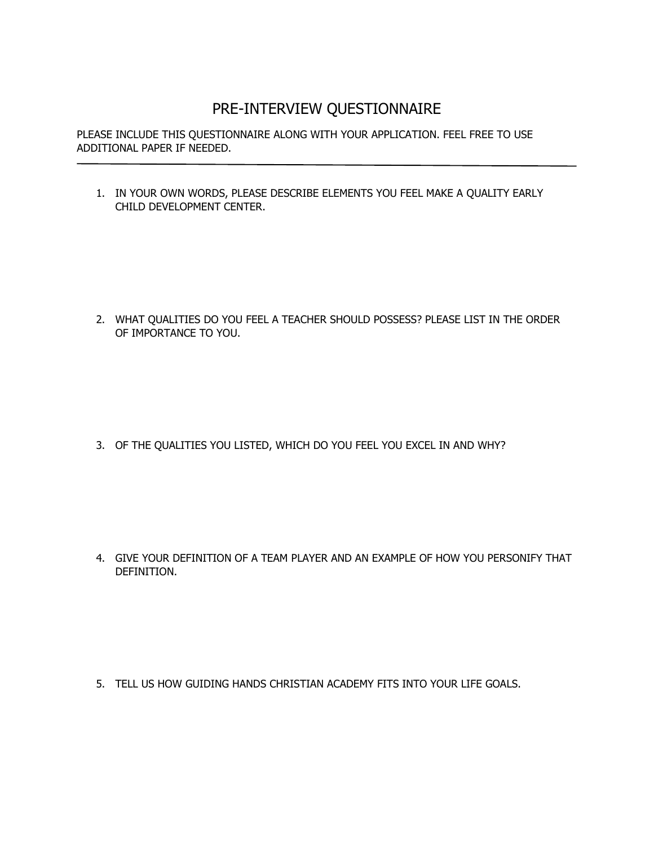## PRE-INTERVIEW QUESTIONNAIRE

PLEASE INCLUDE THIS QUESTIONNAIRE ALONG WITH YOUR APPLICATION. FEEL FREE TO USE ADDITIONAL PAPER IF NEEDED.

1. IN YOUR OWN WORDS, PLEASE DESCRIBE ELEMENTS YOU FEEL MAKE A QUALITY EARLY CHILD DEVELOPMENT CENTER.

2. WHAT QUALITIES DO YOU FEEL A TEACHER SHOULD POSSESS? PLEASE LIST IN THE ORDER OF IMPORTANCE TO YOU.

3. OF THE QUALITIES YOU LISTED, WHICH DO YOU FEEL YOU EXCEL IN AND WHY?

4. GIVE YOUR DEFINITION OF A TEAM PLAYER AND AN EXAMPLE OF HOW YOU PERSONIFY THAT DEFINITION.

5. TELL US HOW GUIDING HANDS CHRISTIAN ACADEMY FITS INTO YOUR LIFE GOALS.